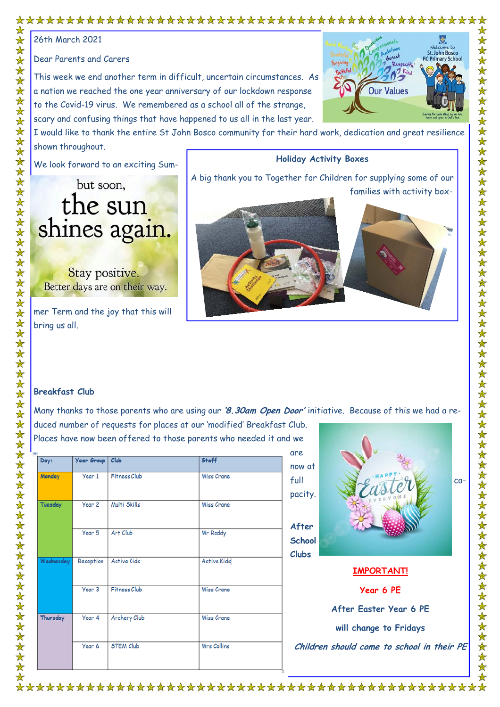## 

26th March 2021

Dear Parents and Carers

This week we end another term in difficult, uncertain circumstances. As a nation we reached the one year anniversary of our lockdown response to the Covid-19 virus. We remembered as a school all of the strange, scary and confusing things that have happened to us all in the last year.



I would like to thank the entire St John Bosco community for their hard work, dedication and great resilience shown throughout.

We look forward to an exciting Sum-

mer Term and the joy that this will bring us all.



## **Breakfast Club**

Many thanks to those parents who are using our **'8.30am Open Door'** initiative. Because of this we had a reduced number of requests for places at our 'modified' Breakfast Club.

Places have now been offered to those parents who needed it and we are

|           |                   |                     |                    | are           |
|-----------|-------------------|---------------------|--------------------|---------------|
| Day:      | Year Group        | Club                | <b>Staff</b>       | now at        |
|           |                   |                     |                    |               |
| Monday    | Year 1            | <b>Fitness Club</b> | Miss Crane         | full          |
|           |                   |                     |                    |               |
|           |                   |                     |                    | pacity.       |
| Tuesday   | Year 2            | Multi Skills        | Miss Crane         |               |
|           |                   |                     |                    |               |
|           |                   |                     |                    |               |
|           | Year 5            | Art Club            | Mr Roddy           | After         |
|           |                   |                     |                    | <b>School</b> |
|           |                   |                     |                    |               |
|           |                   |                     |                    | <b>Clubs</b>  |
| Wednesday | Reception         | <b>Active Kids</b>  | <b>Active Kids</b> |               |
|           |                   |                     |                    |               |
|           |                   |                     |                    |               |
|           | Year <sub>3</sub> | Fitness Club        | Miss Crane         |               |
|           |                   |                     |                    |               |
|           |                   |                     |                    |               |
| Thursday  | Year 4            | Archery Club        | Miss Crane         |               |
|           |                   |                     |                    |               |
|           |                   |                     |                    |               |
|           | Year 6            | <b>STEM Club</b>    | Mrs Collins        | Childr        |
|           |                   |                     |                    |               |
|           |                   |                     |                    |               |
|           |                   |                     |                    |               |



| <b>IMPORTANT!</b>                          |  |
|--------------------------------------------|--|
| Year 6 PE                                  |  |
| After Easter Year 6 PE                     |  |
| will change to Fridays                     |  |
| Children should come to school in their PE |  |
|                                            |  |